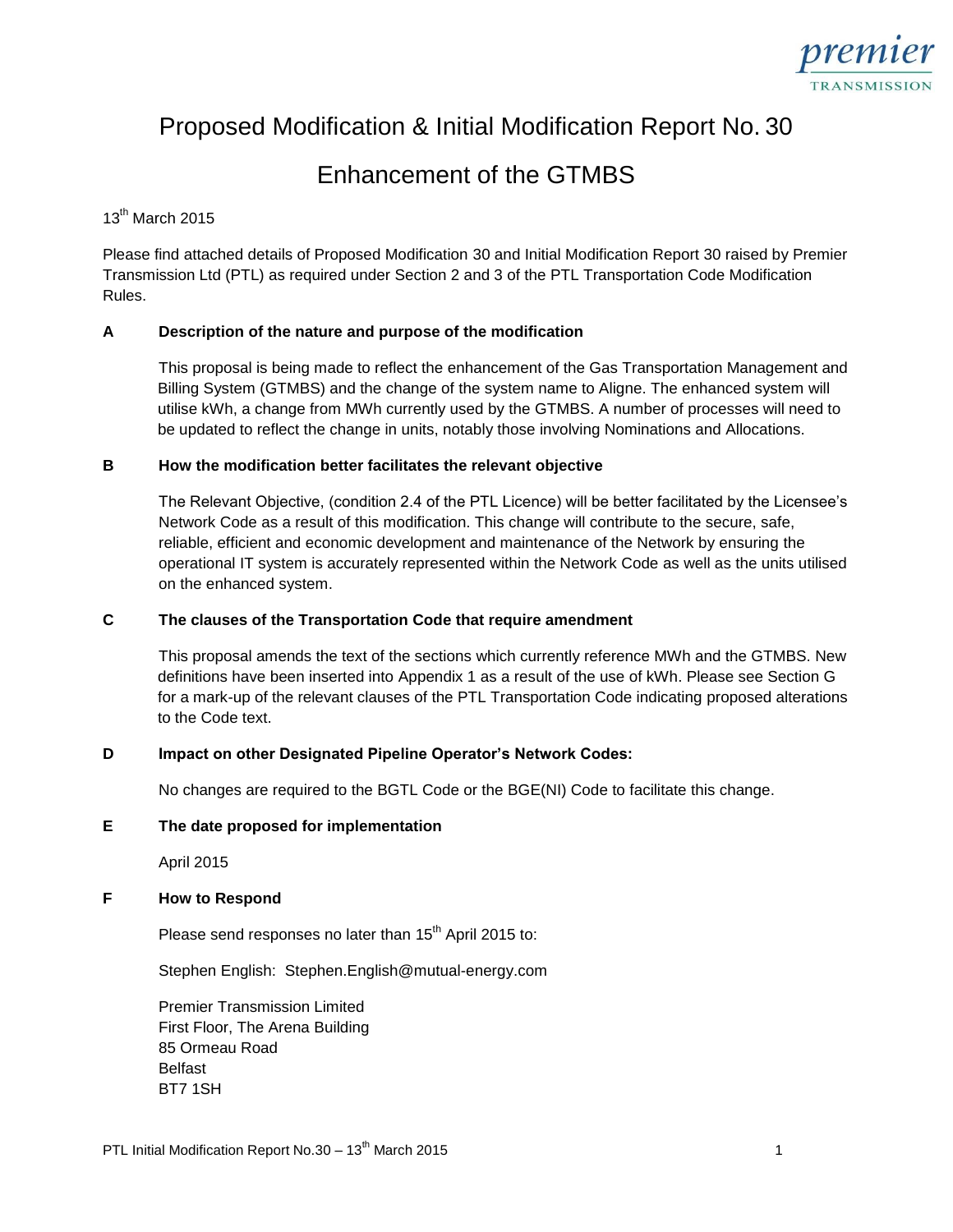

# Proposed Modification & Initial Modification Report No. 30

# Enhancement of the GTMBS

# 13<sup>th</sup> March 2015

Please find attached details of Proposed Modification 30 and Initial Modification Report 30 raised by Premier Transmission Ltd (PTL) as required under Section 2 and 3 of the PTL Transportation Code Modification Rules.

# **A Description of the nature and purpose of the modification**

This proposal is being made to reflect the enhancement of the Gas Transportation Management and Billing System (GTMBS) and the change of the system name to Aligne. The enhanced system will utilise kWh, a change from MWh currently used by the GTMBS. A number of processes will need to be updated to reflect the change in units, notably those involving Nominations and Allocations.

## **B How the modification better facilitates the relevant objective**

The Relevant Objective, (condition 2.4 of the PTL Licence) will be better facilitated by the Licensee's Network Code as a result of this modification. This change will contribute to the secure, safe, reliable, efficient and economic development and maintenance of the Network by ensuring the operational IT system is accurately represented within the Network Code as well as the units utilised on the enhanced system.

## **C The clauses of the Transportation Code that require amendment**

This proposal amends the text of the sections which currently reference MWh and the GTMBS. New definitions have been inserted into Appendix 1 as a result of the use of kWh. Please see Section G for a mark-up of the relevant clauses of the PTL Transportation Code indicating proposed alterations to the Code text.

# **D Impact on other Designated Pipeline Operator's Network Codes:**

No changes are required to the BGTL Code or the BGE(NI) Code to facilitate this change.

## **E The date proposed for implementation**

April 2015

# **F How to Respond**

Please send responses no later than 15<sup>th</sup> April 2015 to:

Stephen English: Stephen.English@mutual-energy.com

Premier Transmission Limited First Floor, The Arena Building 85 Ormeau Road Belfast BT7 1SH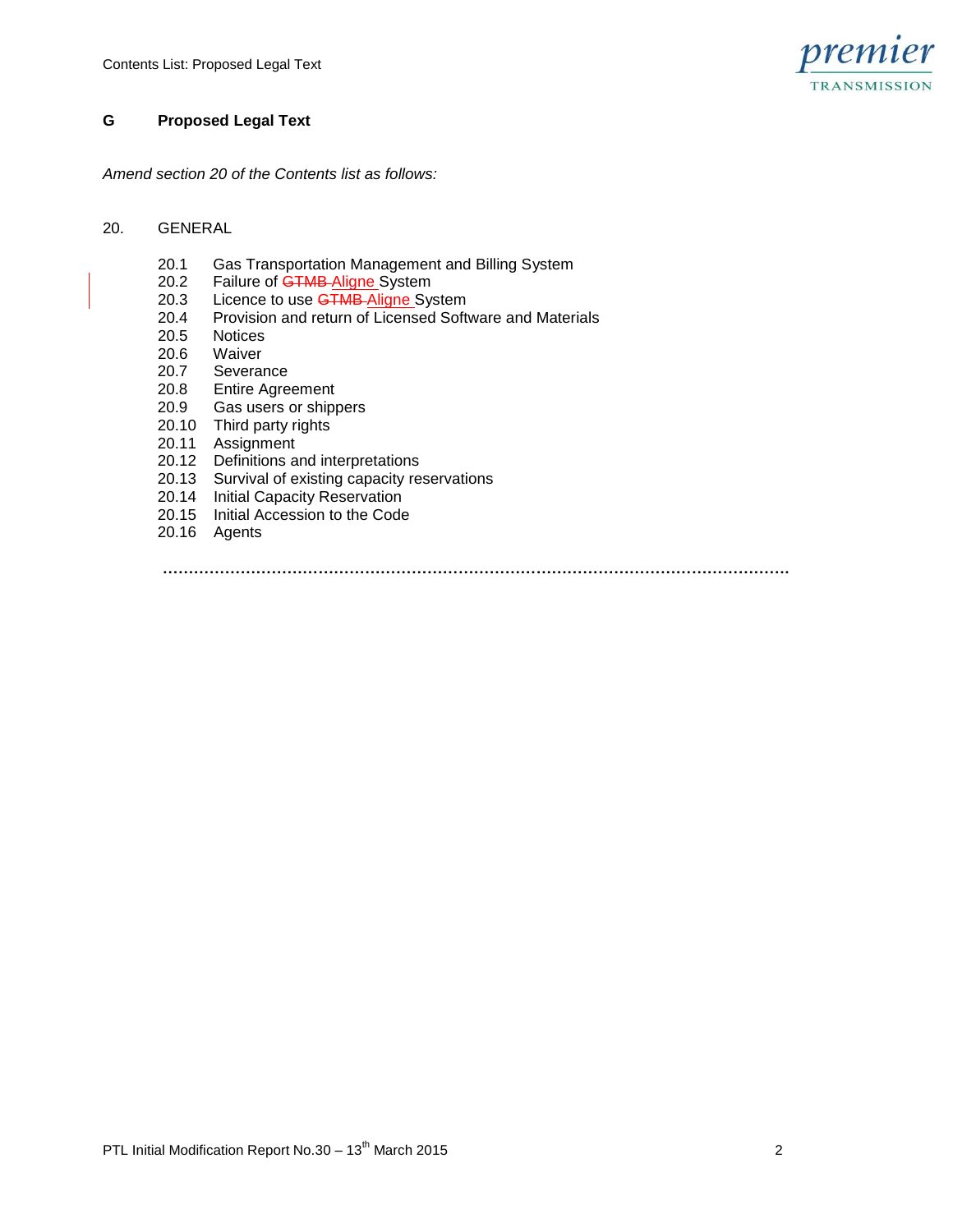

# **G Proposed Legal Text**

*Amend section 20 of the Contents list as follows:*

#### 20. GENERAL

- 20.1 Gas Transportation Management and Billing System<br>20.2 Failure of GTMB-Aligne System
- Failure of **GTMB Aligne System**
- 20.3 Licence to use **GTMB-Aligne System**<br>20.4 Provision and return of Licensed Soft
- 20.4 Provision and return of Licensed Software and Materials<br>20.5 Notices
- **Notices**
- 
- 20.6 Waiver<br>20.7 Severar Severance
- 20.8 Entire Agreement
- 20.9 Gas users or shippers
- 20.10 Third party rights
- 20.11 Assignment
- 20.12 Definitions and interpretations
- 20.13 Survival of existing capacity reservations
- 20.14 Initial Capacity Reservation
- 20.15 Initial Accession to the Code
- 20.16 Agents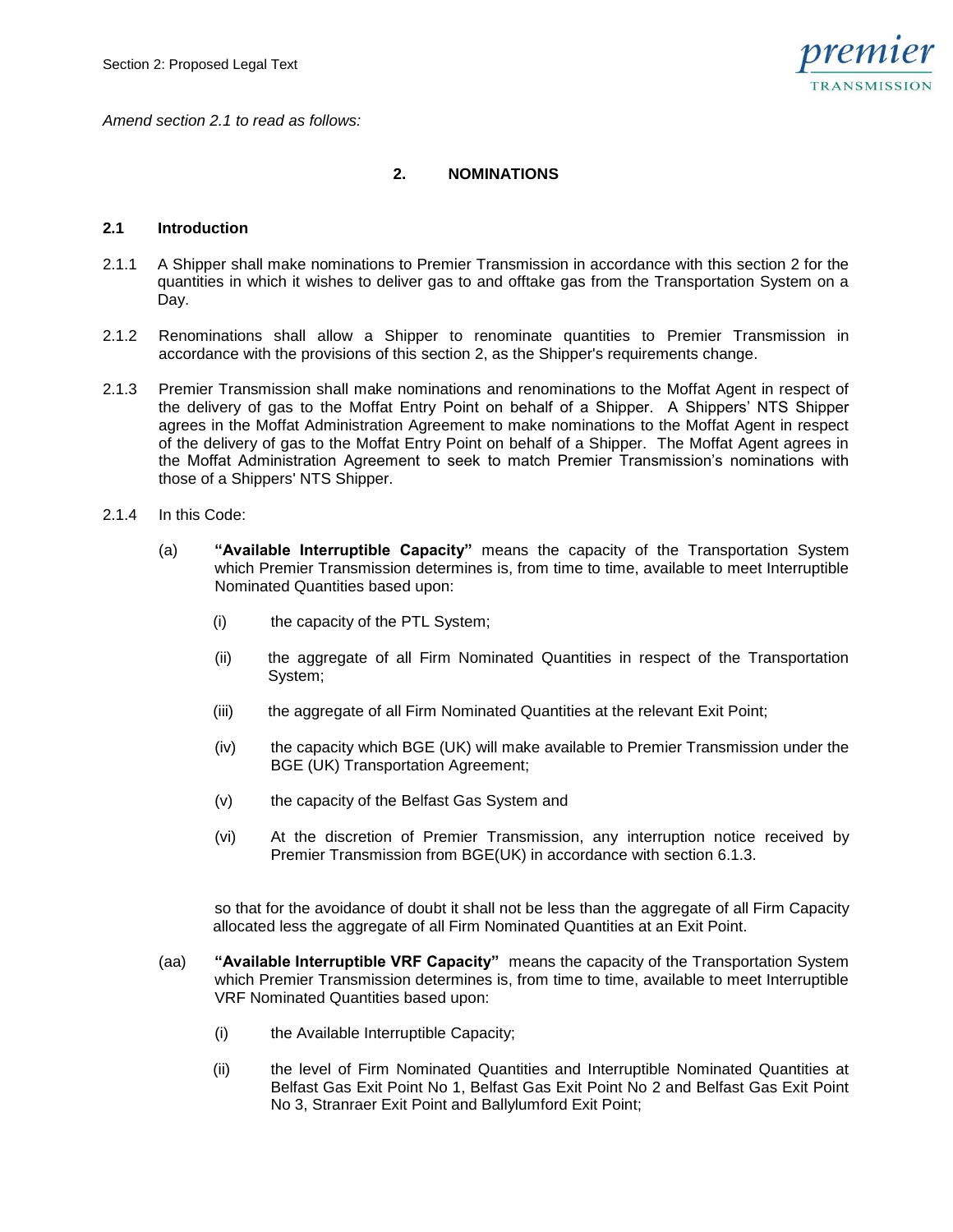

*Amend section 2.1 to read as follows:*

## **2. NOMINATIONS**

#### **2.1 Introduction**

- 2.1.1 A Shipper shall make nominations to Premier Transmission in accordance with this section 2 for the quantities in which it wishes to deliver gas to and offtake gas from the Transportation System on a Day.
- 2.1.2 Renominations shall allow a Shipper to renominate quantities to Premier Transmission in accordance with the provisions of this section 2, as the Shipper's requirements change.
- 2.1.3 Premier Transmission shall make nominations and renominations to the Moffat Agent in respect of the delivery of gas to the Moffat Entry Point on behalf of a Shipper. A Shippers' NTS Shipper agrees in the Moffat Administration Agreement to make nominations to the Moffat Agent in respect of the delivery of gas to the Moffat Entry Point on behalf of a Shipper. The Moffat Agent agrees in the Moffat Administration Agreement to seek to match Premier Transmission's nominations with those of a Shippers' NTS Shipper.
- 2.1.4 In this Code:
	- (a) **"Available Interruptible Capacity"** means the capacity of the Transportation System which Premier Transmission determines is, from time to time, available to meet Interruptible Nominated Quantities based upon:
		- (i) the capacity of the PTL System;
		- (ii) the aggregate of all Firm Nominated Quantities in respect of the Transportation System;
		- (iii) the aggregate of all Firm Nominated Quantities at the relevant Exit Point;
		- (iv) the capacity which BGE (UK) will make available to Premier Transmission under the BGE (UK) Transportation Agreement;
		- (v) the capacity of the Belfast Gas System and
		- (vi) At the discretion of Premier Transmission, any interruption notice received by Premier Transmission from BGE(UK) in accordance with section 6.1.3.

so that for the avoidance of doubt it shall not be less than the aggregate of all Firm Capacity allocated less the aggregate of all Firm Nominated Quantities at an Exit Point.

- (aa) **"Available Interruptible VRF Capacity"** means the capacity of the Transportation System which Premier Transmission determines is, from time to time, available to meet Interruptible VRF Nominated Quantities based upon:
	- (i) the Available Interruptible Capacity;
	- (ii) the level of Firm Nominated Quantities and Interruptible Nominated Quantities at Belfast Gas Exit Point No 1, Belfast Gas Exit Point No 2 and Belfast Gas Exit Point No 3, Stranraer Exit Point and Ballylumford Exit Point;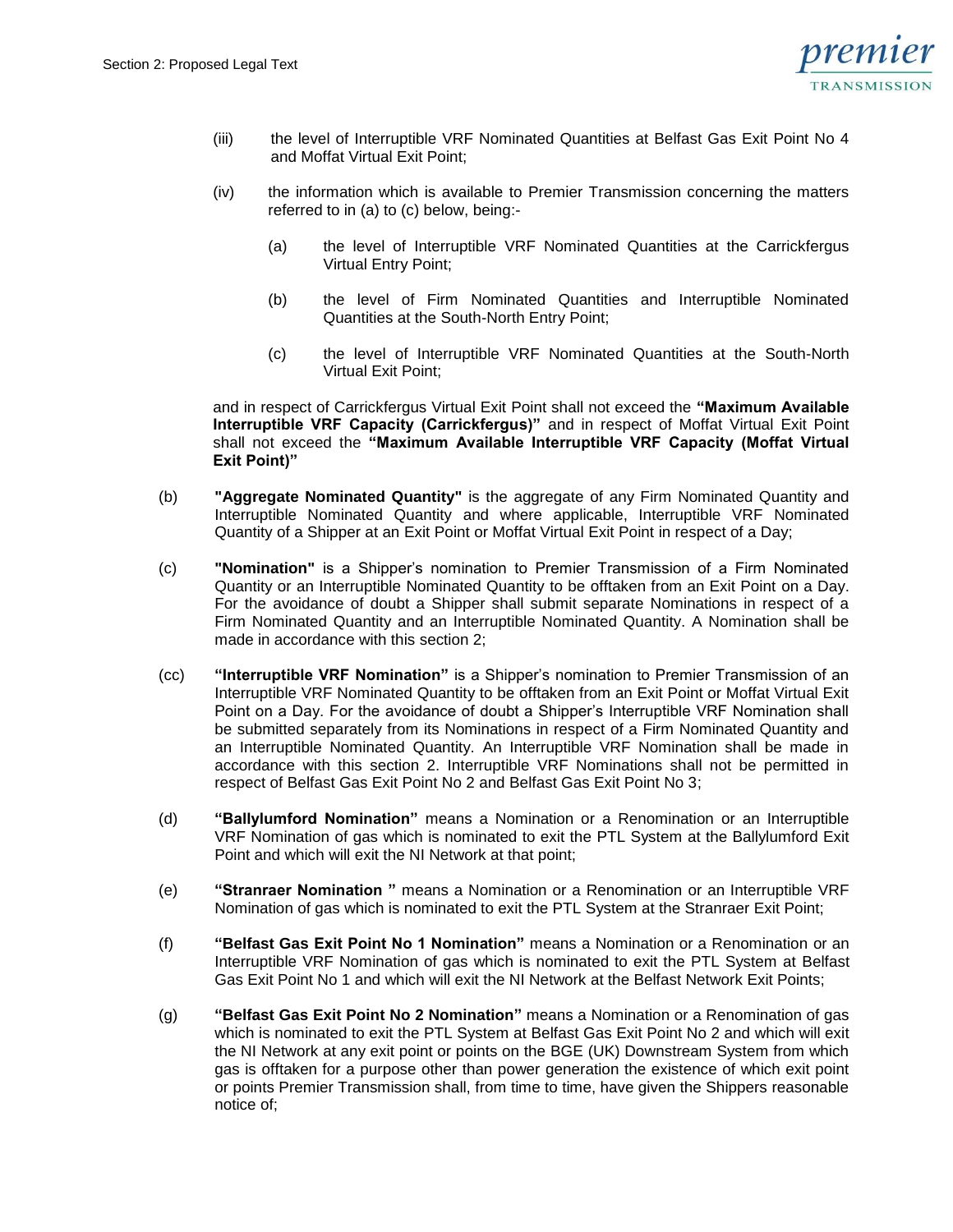

- (iii) the level of Interruptible VRF Nominated Quantities at Belfast Gas Exit Point No 4 and Moffat Virtual Exit Point;
- (iv) the information which is available to Premier Transmission concerning the matters referred to in (a) to (c) below, being:-
	- (a) the level of Interruptible VRF Nominated Quantities at the Carrickfergus Virtual Entry Point;
	- (b) the level of Firm Nominated Quantities and Interruptible Nominated Quantities at the South-North Entry Point;
	- (c) the level of Interruptible VRF Nominated Quantities at the South-North Virtual Exit Point;

and in respect of Carrickfergus Virtual Exit Point shall not exceed the **"Maximum Available Interruptible VRF Capacity (Carrickfergus)"** and in respect of Moffat Virtual Exit Point shall not exceed the **"Maximum Available Interruptible VRF Capacity (Moffat Virtual Exit Point)"**

- (b) **"Aggregate Nominated Quantity"** is the aggregate of any Firm Nominated Quantity and Interruptible Nominated Quantity and where applicable, Interruptible VRF Nominated Quantity of a Shipper at an Exit Point or Moffat Virtual Exit Point in respect of a Day;
- (c) **"Nomination"** is a Shipper's nomination to Premier Transmission of a Firm Nominated Quantity or an Interruptible Nominated Quantity to be offtaken from an Exit Point on a Day. For the avoidance of doubt a Shipper shall submit separate Nominations in respect of a Firm Nominated Quantity and an Interruptible Nominated Quantity. A Nomination shall be made in accordance with this section 2;
- (cc) **"Interruptible VRF Nomination"** is a Shipper's nomination to Premier Transmission of an Interruptible VRF Nominated Quantity to be offtaken from an Exit Point or Moffat Virtual Exit Point on a Day. For the avoidance of doubt a Shipper's Interruptible VRF Nomination shall be submitted separately from its Nominations in respect of a Firm Nominated Quantity and an Interruptible Nominated Quantity. An Interruptible VRF Nomination shall be made in accordance with this section 2. Interruptible VRF Nominations shall not be permitted in respect of Belfast Gas Exit Point No 2 and Belfast Gas Exit Point No 3;
- (d) **"Ballylumford Nomination"** means a Nomination or a Renomination or an Interruptible VRF Nomination of gas which is nominated to exit the PTL System at the Ballylumford Exit Point and which will exit the NI Network at that point;
- (e) **"Stranraer Nomination "** means a Nomination or a Renomination or an Interruptible VRF Nomination of gas which is nominated to exit the PTL System at the Stranraer Exit Point;
- (f) **"Belfast Gas Exit Point No 1 Nomination"** means a Nomination or a Renomination or an Interruptible VRF Nomination of gas which is nominated to exit the PTL System at Belfast Gas Exit Point No 1 and which will exit the NI Network at the Belfast Network Exit Points;
- (g) **"Belfast Gas Exit Point No 2 Nomination"** means a Nomination or a Renomination of gas which is nominated to exit the PTL System at Belfast Gas Exit Point No 2 and which will exit the NI Network at any exit point or points on the BGE (UK) Downstream System from which gas is offtaken for a purpose other than power generation the existence of which exit point or points Premier Transmission shall, from time to time, have given the Shippers reasonable notice of;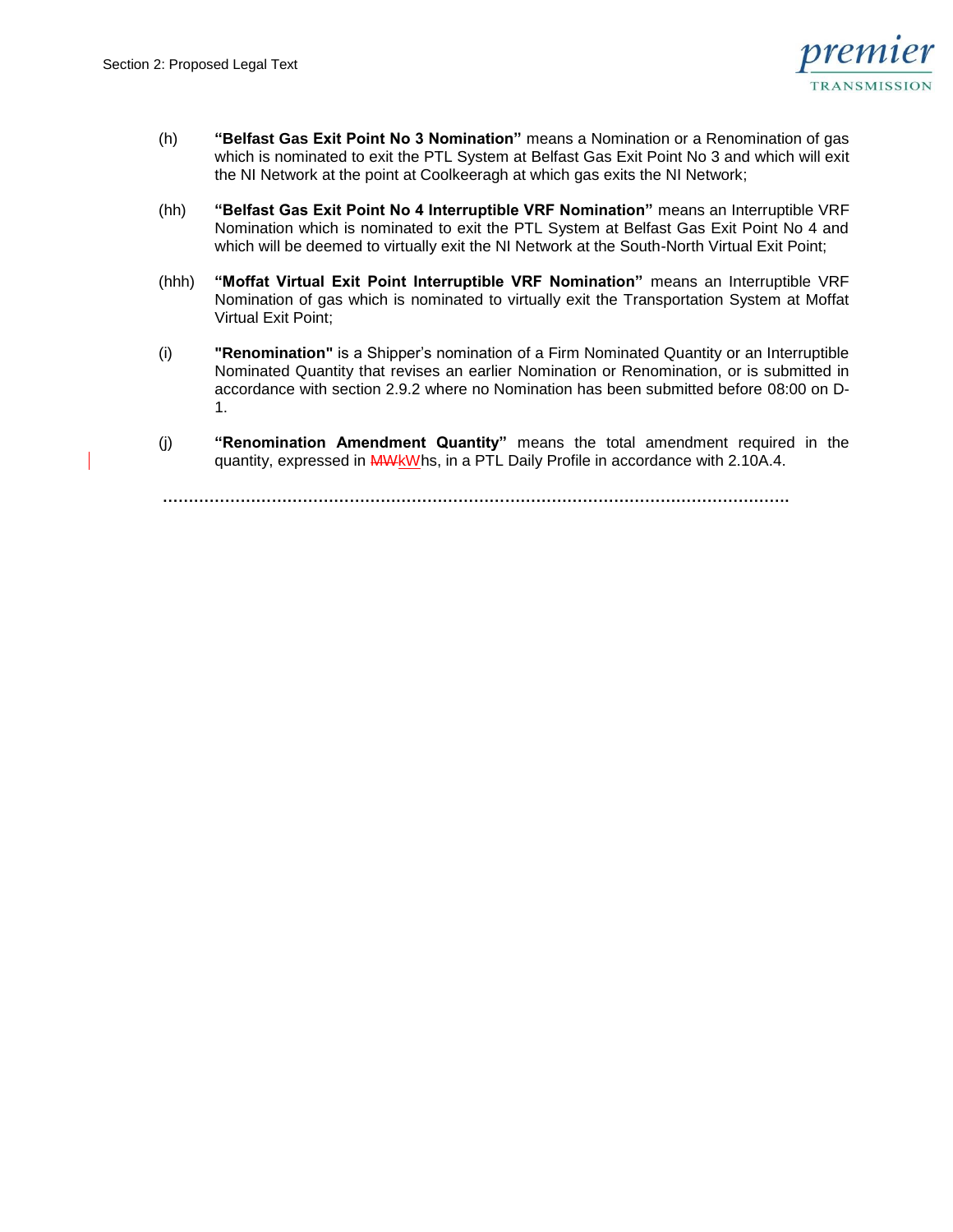

- (h) **"Belfast Gas Exit Point No 3 Nomination"** means a Nomination or a Renomination of gas which is nominated to exit the PTL System at Belfast Gas Exit Point No 3 and which will exit the NI Network at the point at Coolkeeragh at which gas exits the NI Network;
- (hh) **"Belfast Gas Exit Point No 4 Interruptible VRF Nomination"** means an Interruptible VRF Nomination which is nominated to exit the PTL System at Belfast Gas Exit Point No 4 and which will be deemed to virtually exit the NI Network at the South-North Virtual Exit Point;
- (hhh) **"Moffat Virtual Exit Point Interruptible VRF Nomination"** means an Interruptible VRF Nomination of gas which is nominated to virtually exit the Transportation System at Moffat Virtual Exit Point;
- (i) **"Renomination"** is a Shipper's nomination of a Firm Nominated Quantity or an Interruptible Nominated Quantity that revises an earlier Nomination or Renomination, or is submitted in accordance with section 2.9.2 where no Nomination has been submitted before 08:00 on D-1.
- (j) **"Renomination Amendment Quantity"** means the total amendment required in the quantity, expressed in MWKWhs, in a PTL Daily Profile in accordance with 2.10A.4.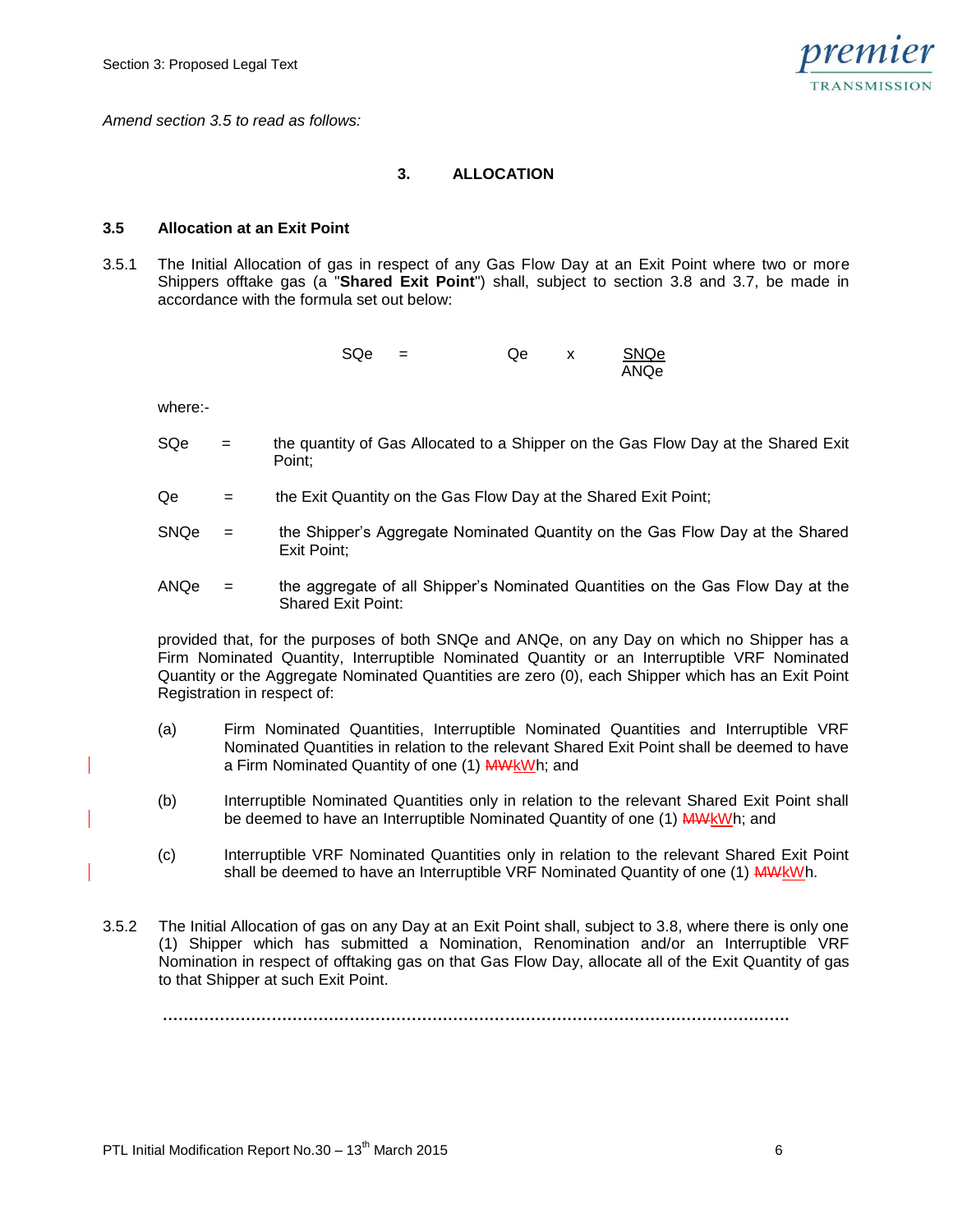

*Amend section 3.5 to read as follows:*

## **3. ALLOCATION**

#### **3.5 Allocation at an Exit Point**

3.5.1 The Initial Allocation of gas in respect of any Gas Flow Day at an Exit Point where two or more Shippers offtake gas (a "**Shared Exit Point**") shall, subject to section 3.8 and 3.7, be made in accordance with the formula set out below:

| SQe | $=$ | Qe | SNQe |
|-----|-----|----|------|
|     |     |    | ANQe |

where:-

- SQe = the quantity of Gas Allocated to a Shipper on the Gas Flow Day at the Shared Exit Point;
- Qe = the Exit Quantity on the Gas Flow Day at the Shared Exit Point;
- SNQe = the Shipper's Aggregate Nominated Quantity on the Gas Flow Day at the Shared Exit Point;
- ANQe = the aggregate of all Shipper's Nominated Quantities on the Gas Flow Day at the Shared Exit Point:

provided that, for the purposes of both SNQe and ANQe, on any Day on which no Shipper has a Firm Nominated Quantity, Interruptible Nominated Quantity or an Interruptible VRF Nominated Quantity or the Aggregate Nominated Quantities are zero (0), each Shipper which has an Exit Point Registration in respect of:

- (a) Firm Nominated Quantities, Interruptible Nominated Quantities and Interruptible VRF Nominated Quantities in relation to the relevant Shared Exit Point shall be deemed to have a Firm Nominated Quantity of one (1) MWkWh; and
- (b) Interruptible Nominated Quantities only in relation to the relevant Shared Exit Point shall be deemed to have an Interruptible Nominated Quantity of one (1) MWkWh; and
- (c) Interruptible VRF Nominated Quantities only in relation to the relevant Shared Exit Point shall be deemed to have an Interruptible VRF Nominated Quantity of one (1) MWkWh.
- 3.5.2 The Initial Allocation of gas on any Day at an Exit Point shall, subject to 3.8, where there is only one (1) Shipper which has submitted a Nomination, Renomination and/or an Interruptible VRF Nomination in respect of offtaking gas on that Gas Flow Day, allocate all of the Exit Quantity of gas to that Shipper at such Exit Point.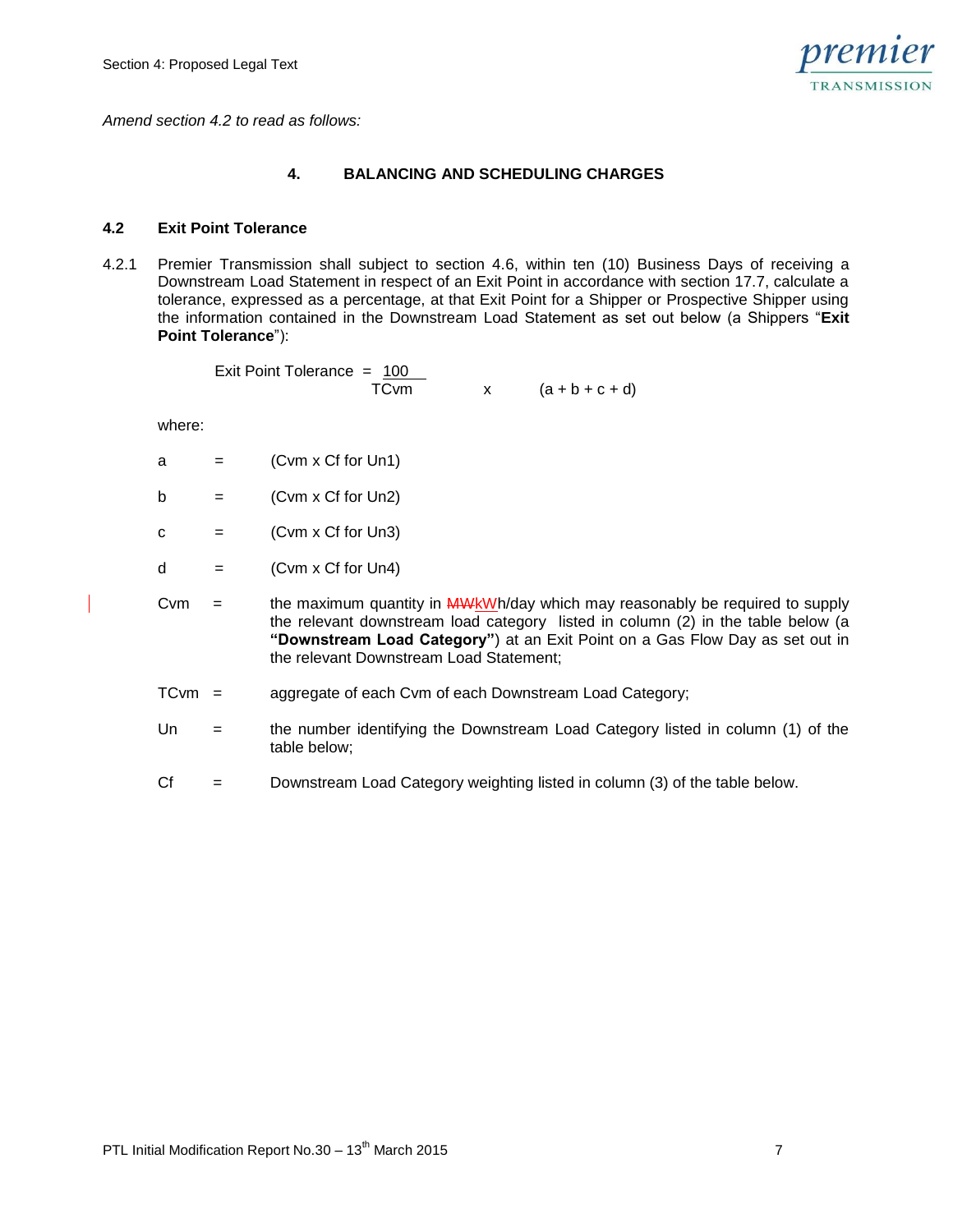

*Amend section 4.2 to read as follows:*

## **4. BALANCING AND SCHEDULING CHARGES**

#### **4.2 Exit Point Tolerance**

4.2.1 Premier Transmission shall subject to section 4.6, within ten (10) Business Days of receiving a Downstream Load Statement in respect of an Exit Point in accordance with section 17.7, calculate a tolerance, expressed as a percentage, at that Exit Point for a Shipper or Prospective Shipper using the information contained in the Downstream Load Statement as set out below (a Shippers "**Exit Point Tolerance**"):

> Exit Point Tolerance =  $100$  $TCvm$   $x$   $(a + b + c + d)$

where:

- $a = (Cvm \times Cf \text{ for Un1})$
- $b = (Cvm \times Cf \text{ for Un2})$
- $c = (Cvm \times Cf \text{ for Un3})$
- $d = (Cvm \times Cf \text{ for Un4})$
- Cvm  $=$  the maximum quantity in  $\frac{M}{W}$  MWkWh/day which may reasonably be required to supply the relevant downstream load category listed in column (2) in the table below (a **"Downstream Load Category"**) at an Exit Point on a Gas Flow Day as set out in the relevant Downstream Load Statement;
	- TCvm = aggregate of each Cvm of each Downstream Load Category;
	- Un = the number identifying the Downstream Load Category listed in column (1) of the table below;
	- Cf = Downstream Load Category weighting listed in column (3) of the table below.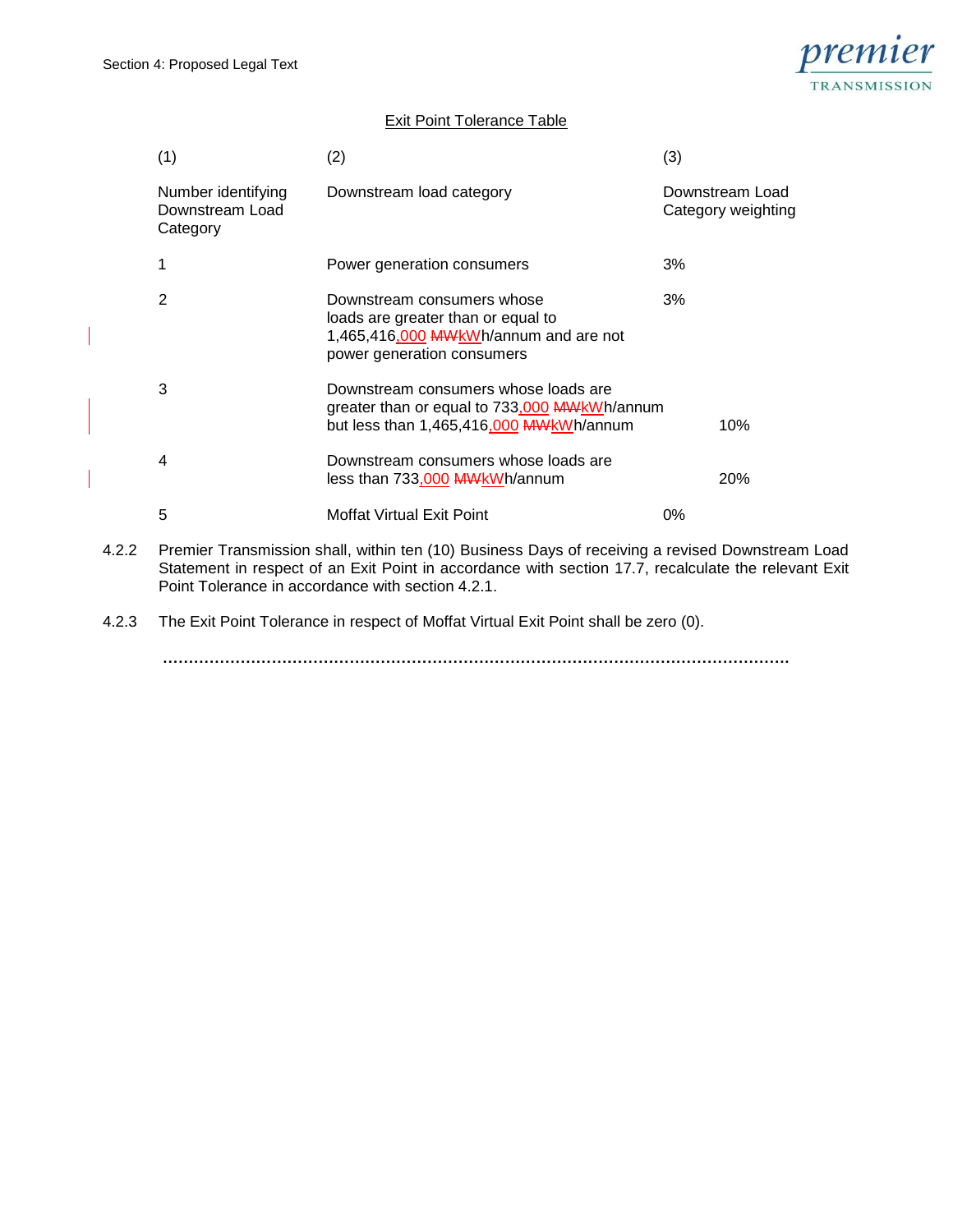

# Exit Point Tolerance Table

| (1)                                               | (2)                                                                                                                                     | (3)                                   |
|---------------------------------------------------|-----------------------------------------------------------------------------------------------------------------------------------------|---------------------------------------|
| Number identifying<br>Downstream Load<br>Category | Downstream load category                                                                                                                | Downstream Load<br>Category weighting |
| 1                                                 | Power generation consumers                                                                                                              | 3%                                    |
| $\overline{2}$                                    | Downstream consumers whose<br>loads are greater than or equal to<br>1,465,416,000 MWkWh/annum and are not<br>power generation consumers | 3%                                    |
| 3                                                 | Downstream consumers whose loads are<br>greater than or equal to 733,000 MWkWh/annum<br>but less than 1,465,416,000 MWkWh/annum         | 10%                                   |
| 4                                                 | Downstream consumers whose loads are<br>less than 733,000 MWkWh/annum                                                                   | 20%                                   |
| 5                                                 | Moffat Virtual Exit Point                                                                                                               | 0%                                    |
|                                                   | Dramier Transmission aboll within top (10) Puginese Dave of resoluting a revised Downstrop                                              |                                       |

4.2.2 Premier Transmission shall, within ten (10) Business Days of receiving a revised Downstream Load Statement in respect of an Exit Point in accordance with section 17.7, recalculate the relevant Exit Point Tolerance in accordance with section 4.2.1.

4.2.3 The Exit Point Tolerance in respect of Moffat Virtual Exit Point shall be zero (0).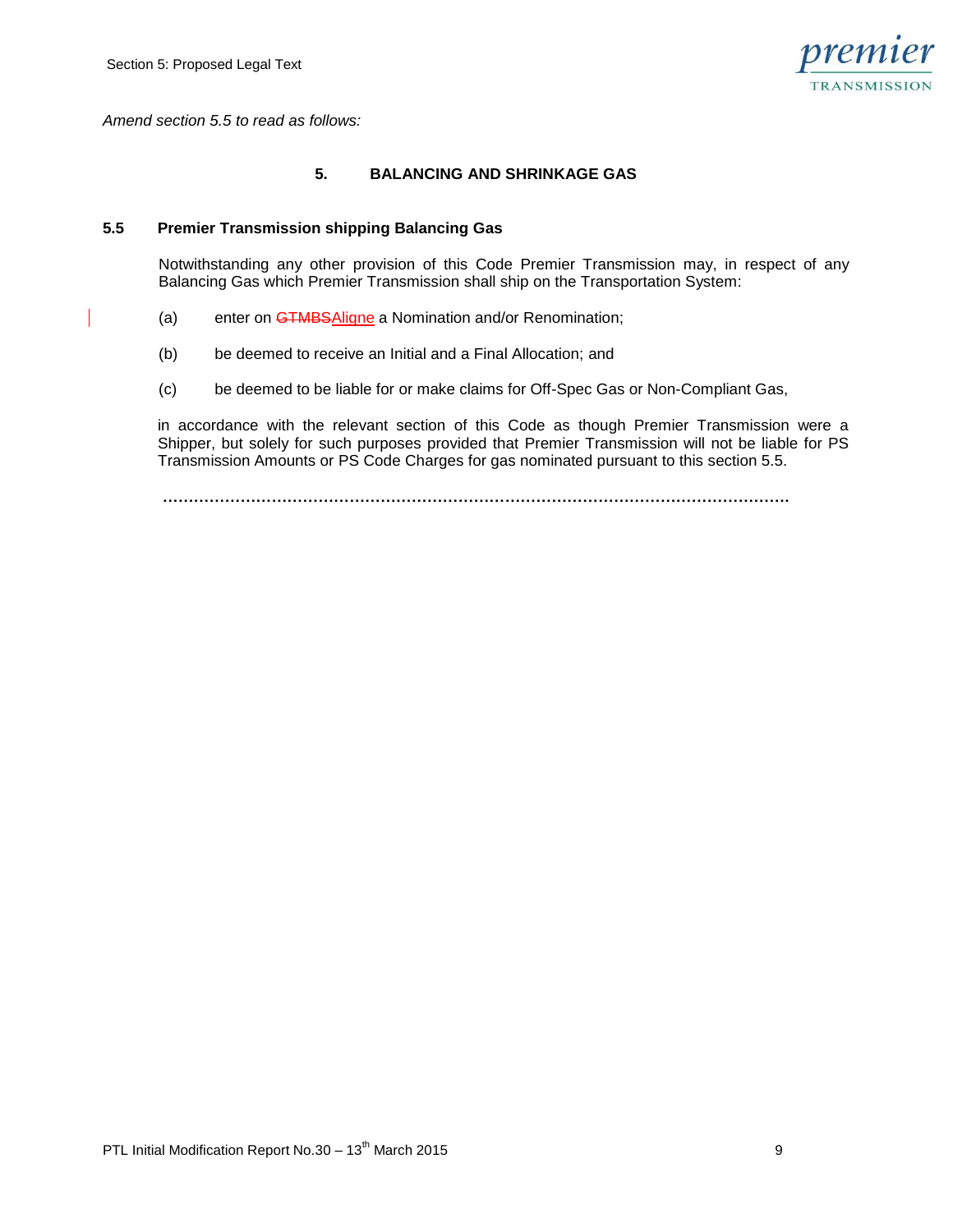

*Amend section 5.5 to read as follows:*

## **5. BALANCING AND SHRINKAGE GAS**

#### **5.5 Premier Transmission shipping Balancing Gas**

Notwithstanding any other provision of this Code Premier Transmission may, in respect of any Balancing Gas which Premier Transmission shall ship on the Transportation System:

- (a) enter on GTMBSAligne a Nomination and/or Renomination;
- (b) be deemed to receive an Initial and a Final Allocation; and
- (c) be deemed to be liable for or make claims for Off-Spec Gas or Non-Compliant Gas,

in accordance with the relevant section of this Code as though Premier Transmission were a Shipper, but solely for such purposes provided that Premier Transmission will not be liable for PS Transmission Amounts or PS Code Charges for gas nominated pursuant to this section 5.5.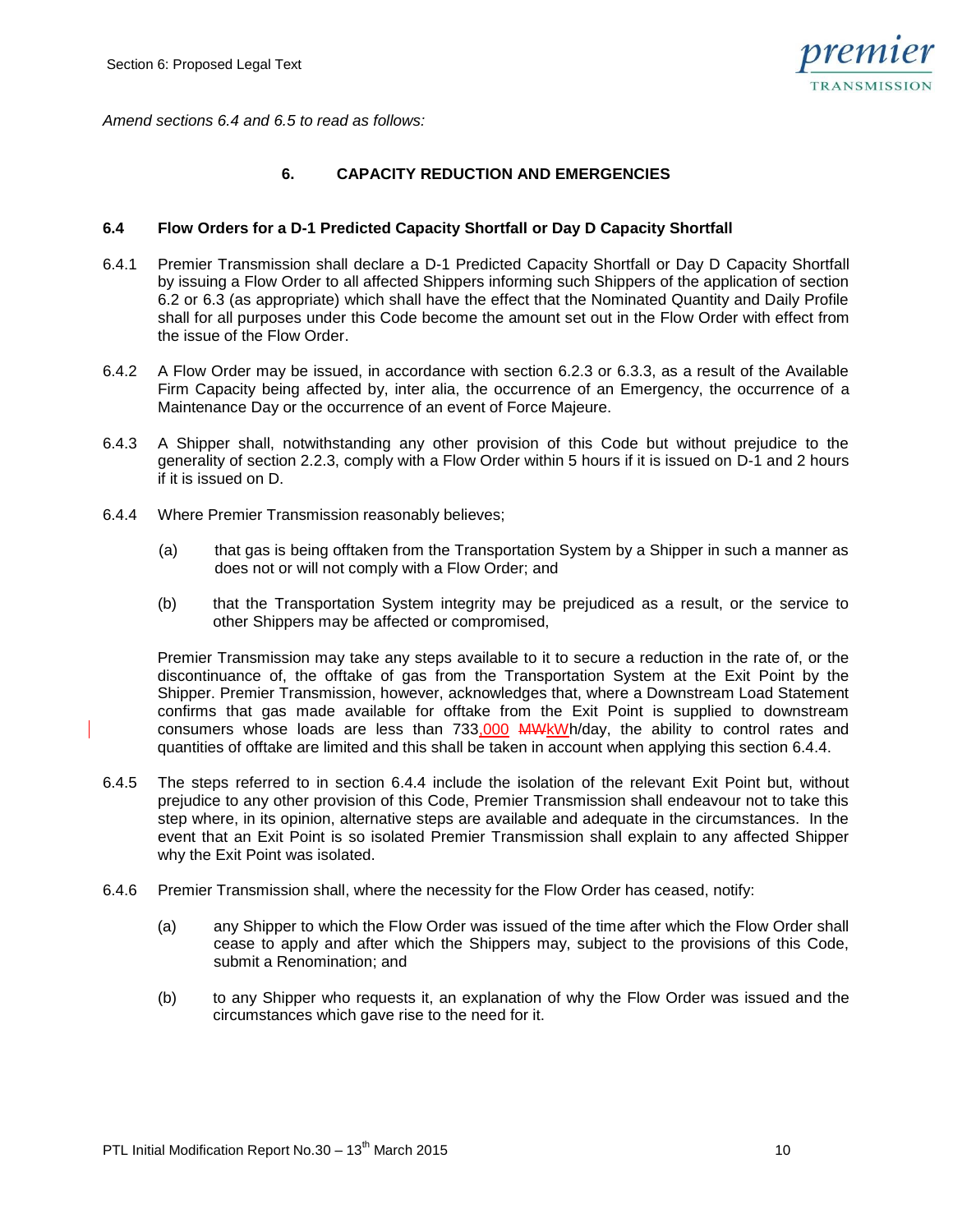

*Amend sections 6.4 and 6.5 to read as follows:*

## **6. CAPACITY REDUCTION AND EMERGENCIES**

#### **6.4 Flow Orders for a D-1 Predicted Capacity Shortfall or Day D Capacity Shortfall**

- 6.4.1 Premier Transmission shall declare a D-1 Predicted Capacity Shortfall or Day D Capacity Shortfall by issuing a Flow Order to all affected Shippers informing such Shippers of the application of section 6.2 or 6.3 (as appropriate) which shall have the effect that the Nominated Quantity and Daily Profile shall for all purposes under this Code become the amount set out in the Flow Order with effect from the issue of the Flow Order.
- 6.4.2 A Flow Order may be issued, in accordance with section 6.2.3 or 6.3.3, as a result of the Available Firm Capacity being affected by, inter alia, the occurrence of an Emergency, the occurrence of a Maintenance Day or the occurrence of an event of Force Majeure.
- 6.4.3 A Shipper shall, notwithstanding any other provision of this Code but without prejudice to the generality of section 2.2.3, comply with a Flow Order within 5 hours if it is issued on D-1 and 2 hours if it is issued on D.
- 6.4.4 Where Premier Transmission reasonably believes;
	- (a) that gas is being offtaken from the Transportation System by a Shipper in such a manner as does not or will not comply with a Flow Order; and
	- (b) that the Transportation System integrity may be prejudiced as a result, or the service to other Shippers may be affected or compromised,

Premier Transmission may take any steps available to it to secure a reduction in the rate of, or the discontinuance of, the offtake of gas from the Transportation System at the Exit Point by the Shipper. Premier Transmission, however, acknowledges that, where a Downstream Load Statement confirms that gas made available for offtake from the Exit Point is supplied to downstream consumers whose loads are less than 733,000 MWkWh/day, the ability to control rates and quantities of offtake are limited and this shall be taken in account when applying this section 6.4.4.

- 6.4.5 The steps referred to in section 6.4.4 include the isolation of the relevant Exit Point but, without prejudice to any other provision of this Code, Premier Transmission shall endeavour not to take this step where, in its opinion, alternative steps are available and adequate in the circumstances. In the event that an Exit Point is so isolated Premier Transmission shall explain to any affected Shipper why the Exit Point was isolated.
- 6.4.6 Premier Transmission shall, where the necessity for the Flow Order has ceased, notify:
	- (a) any Shipper to which the Flow Order was issued of the time after which the Flow Order shall cease to apply and after which the Shippers may, subject to the provisions of this Code, submit a Renomination; and
	- (b) to any Shipper who requests it, an explanation of why the Flow Order was issued and the circumstances which gave rise to the need for it.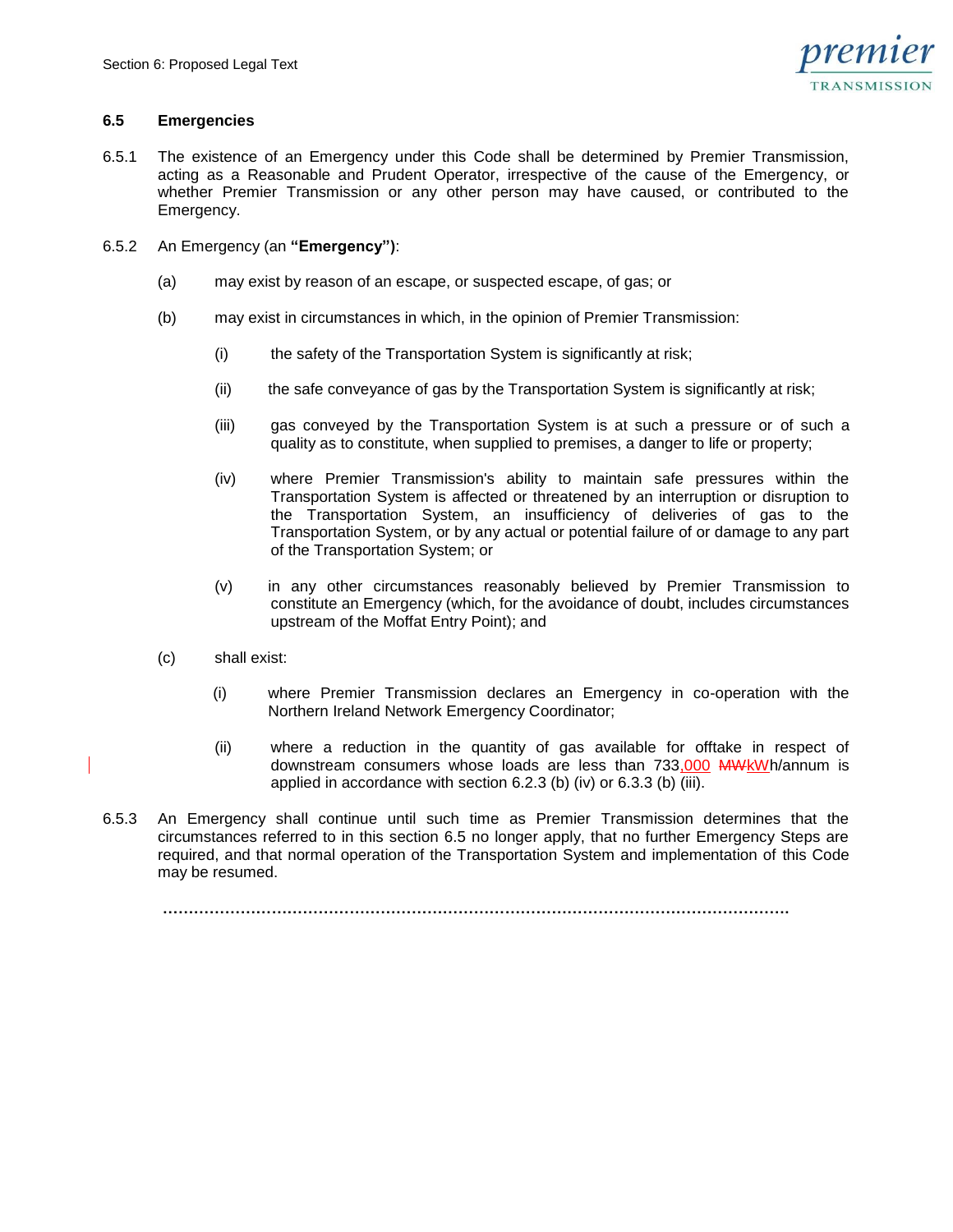

## **6.5 Emergencies**

- 6.5.1 The existence of an Emergency under this Code shall be determined by Premier Transmission, acting as a Reasonable and Prudent Operator, irrespective of the cause of the Emergency, or whether Premier Transmission or any other person may have caused, or contributed to the Emergency.
- 6.5.2 An Emergency (an **"Emergency")**:
	- (a) may exist by reason of an escape, or suspected escape, of gas; or
	- (b) may exist in circumstances in which, in the opinion of Premier Transmission:
		- (i) the safety of the Transportation System is significantly at risk;
		- (ii) the safe conveyance of gas by the Transportation System is significantly at risk;
		- (iii) gas conveyed by the Transportation System is at such a pressure or of such a quality as to constitute, when supplied to premises, a danger to life or property;
		- (iv) where Premier Transmission's ability to maintain safe pressures within the Transportation System is affected or threatened by an interruption or disruption to the Transportation System, an insufficiency of deliveries of gas to the Transportation System, or by any actual or potential failure of or damage to any part of the Transportation System; or
		- (v) in any other circumstances reasonably believed by Premier Transmission to constitute an Emergency (which, for the avoidance of doubt, includes circumstances upstream of the Moffat Entry Point); and
	- (c) shall exist:
		- (i) where Premier Transmission declares an Emergency in co-operation with the Northern Ireland Network Emergency Coordinator;
		- (ii) where a reduction in the quantity of gas available for offtake in respect of downstream consumers whose loads are less than 733,000 MWkWh/annum is applied in accordance with section 6.2.3 (b) (iv) or 6.3.3 (b) (iii).
- 6.5.3 An Emergency shall continue until such time as Premier Transmission determines that the circumstances referred to in this section 6.5 no longer apply, that no further Emergency Steps are required, and that normal operation of the Transportation System and implementation of this Code may be resumed.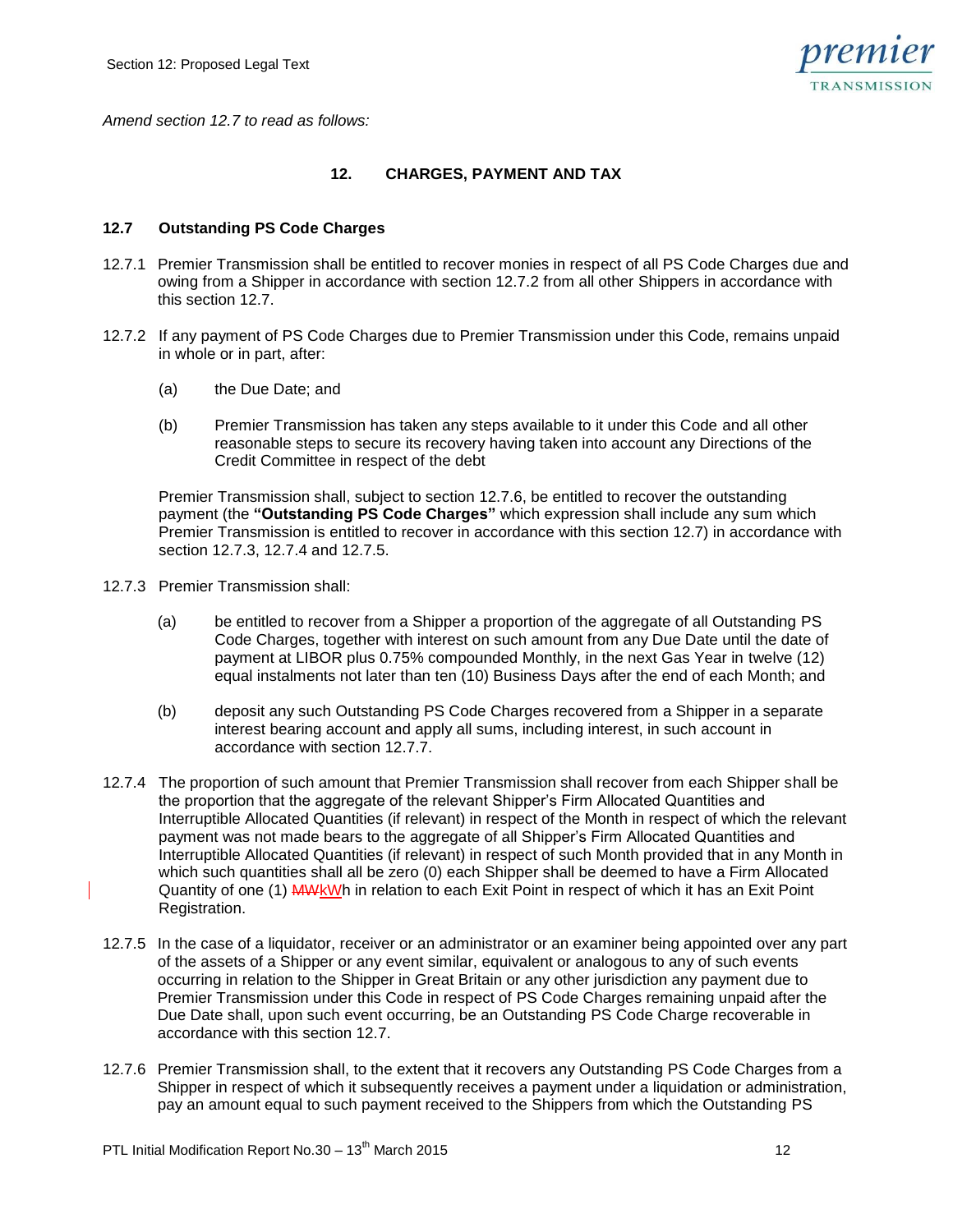

*Amend section 12.7 to read as follows:*

# **12. CHARGES, PAYMENT AND TAX**

## **12.7 Outstanding PS Code Charges**

- 12.7.1 Premier Transmission shall be entitled to recover monies in respect of all PS Code Charges due and owing from a Shipper in accordance with section 12.7.2 from all other Shippers in accordance with this section 12.7.
- 12.7.2 If any payment of PS Code Charges due to Premier Transmission under this Code, remains unpaid in whole or in part, after:
	- (a) the Due Date; and
	- (b) Premier Transmission has taken any steps available to it under this Code and all other reasonable steps to secure its recovery having taken into account any Directions of the Credit Committee in respect of the debt

Premier Transmission shall, subject to section 12.7.6, be entitled to recover the outstanding payment (the **"Outstanding PS Code Charges"** which expression shall include any sum which Premier Transmission is entitled to recover in accordance with this section 12.7) in accordance with section 12.7.3, 12.7.4 and 12.7.5.

- 12.7.3 Premier Transmission shall:
	- (a) be entitled to recover from a Shipper a proportion of the aggregate of all Outstanding PS Code Charges, together with interest on such amount from any Due Date until the date of payment at LIBOR plus 0.75% compounded Monthly, in the next Gas Year in twelve (12) equal instalments not later than ten (10) Business Days after the end of each Month; and
	- (b) deposit any such Outstanding PS Code Charges recovered from a Shipper in a separate interest bearing account and apply all sums, including interest, in such account in accordance with section 12.7.7.
- 12.7.4 The proportion of such amount that Premier Transmission shall recover from each Shipper shall be the proportion that the aggregate of the relevant Shipper's Firm Allocated Quantities and Interruptible Allocated Quantities (if relevant) in respect of the Month in respect of which the relevant payment was not made bears to the aggregate of all Shipper's Firm Allocated Quantities and Interruptible Allocated Quantities (if relevant) in respect of such Month provided that in any Month in which such quantities shall all be zero (0) each Shipper shall be deemed to have a Firm Allocated Quantity of one (1) MWkWh in relation to each Exit Point in respect of which it has an Exit Point Registration.
- 12.7.5 In the case of a liquidator, receiver or an administrator or an examiner being appointed over any part of the assets of a Shipper or any event similar, equivalent or analogous to any of such events occurring in relation to the Shipper in Great Britain or any other jurisdiction any payment due to Premier Transmission under this Code in respect of PS Code Charges remaining unpaid after the Due Date shall, upon such event occurring, be an Outstanding PS Code Charge recoverable in accordance with this section 12.7.
- 12.7.6 Premier Transmission shall, to the extent that it recovers any Outstanding PS Code Charges from a Shipper in respect of which it subsequently receives a payment under a liquidation or administration, pay an amount equal to such payment received to the Shippers from which the Outstanding PS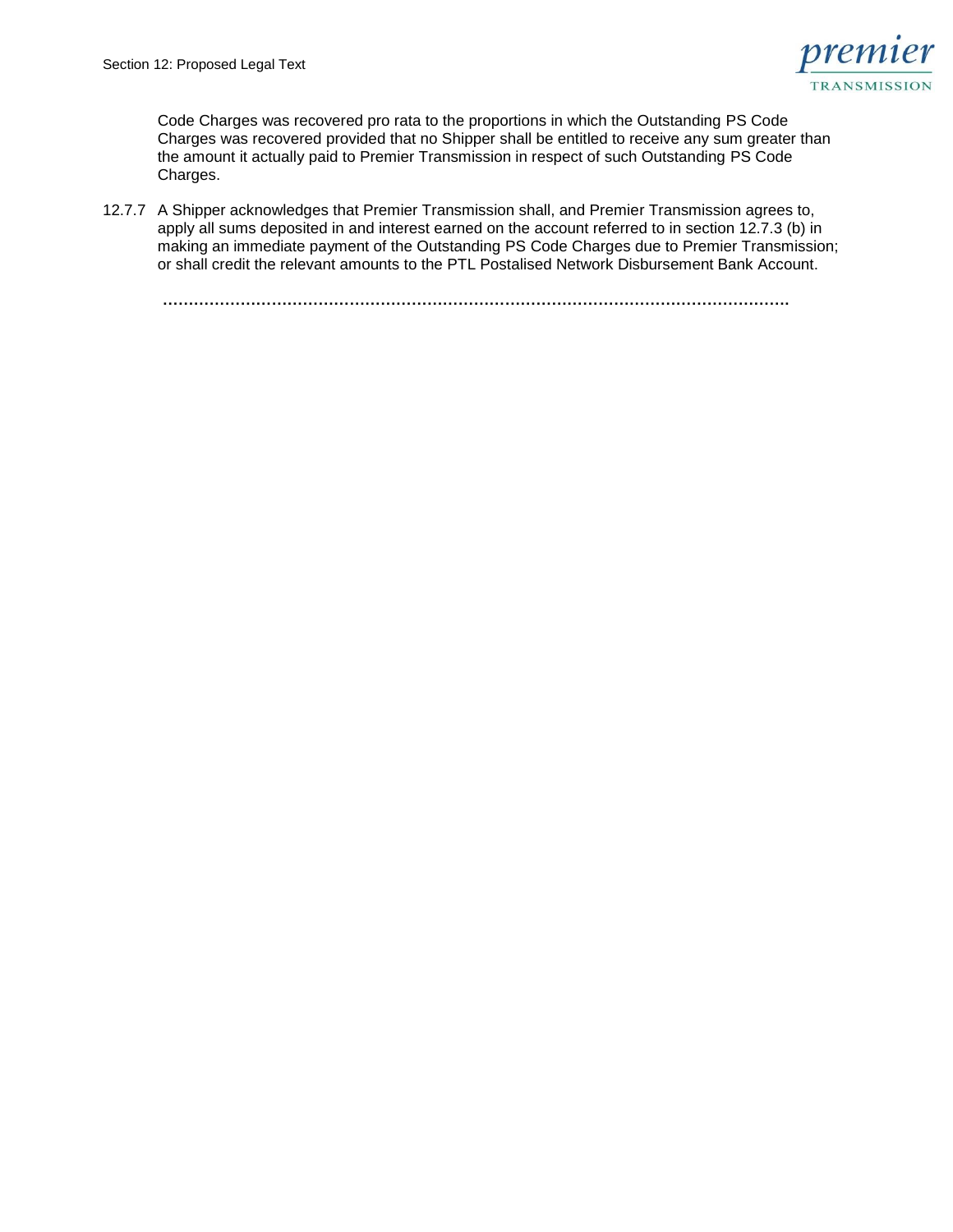

Code Charges was recovered pro rata to the proportions in which the Outstanding PS Code Charges was recovered provided that no Shipper shall be entitled to receive any sum greater than the amount it actually paid to Premier Transmission in respect of such Outstanding PS Code Charges.

12.7.7 A Shipper acknowledges that Premier Transmission shall, and Premier Transmission agrees to, apply all sums deposited in and interest earned on the account referred to in section 12.7.3 (b) in making an immediate payment of the Outstanding PS Code Charges due to Premier Transmission; or shall credit the relevant amounts to the PTL Postalised Network Disbursement Bank Account.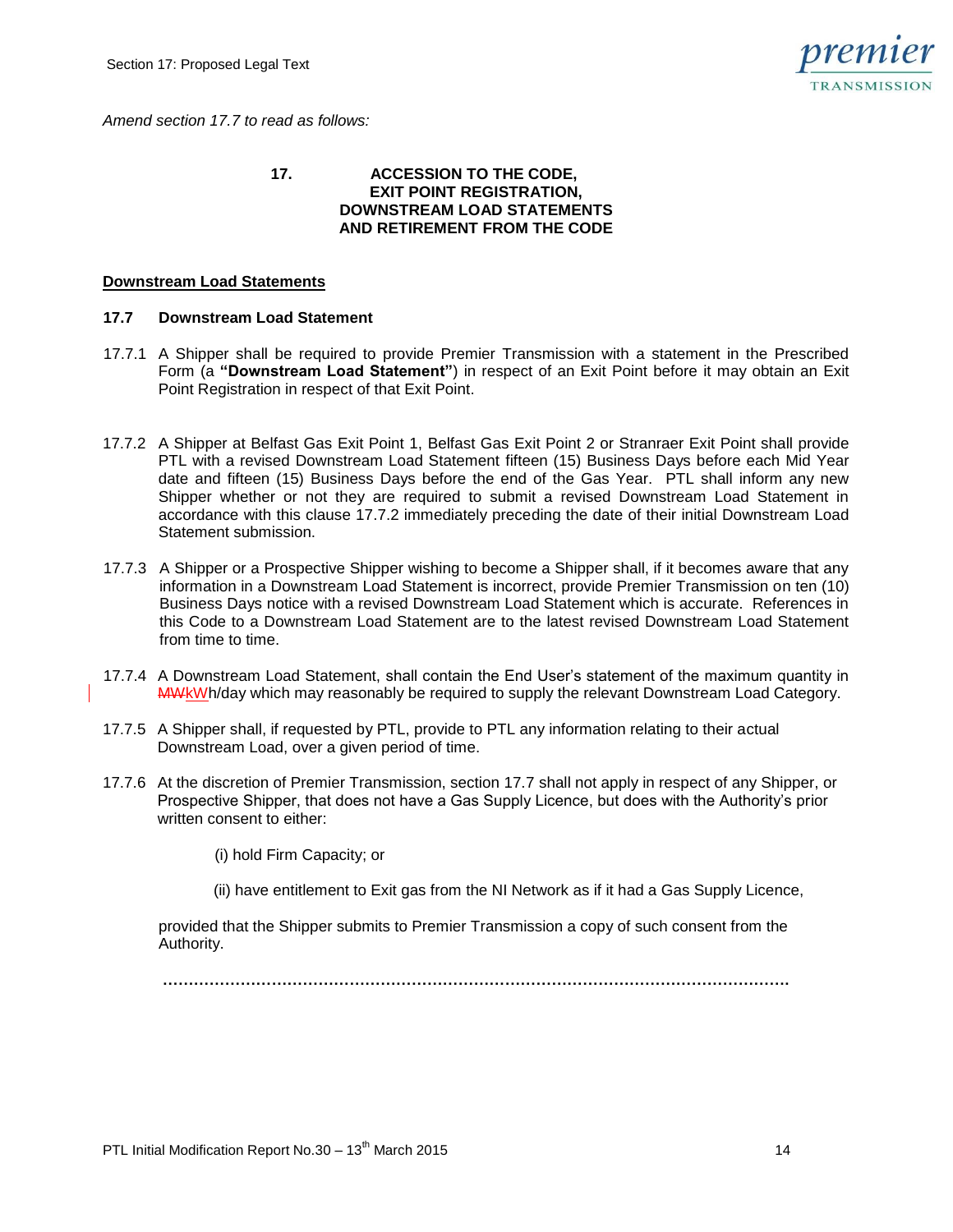*Amend section 17.7 to read as follows:*



#### **17. ACCESSION TO THE CODE, EXIT POINT REGISTRATION, DOWNSTREAM LOAD STATEMENTS AND RETIREMENT FROM THE CODE**

## **Downstream Load Statements**

## **17.7 Downstream Load Statement**

- 17.7.1 A Shipper shall be required to provide Premier Transmission with a statement in the Prescribed Form (a **"Downstream Load Statement"**) in respect of an Exit Point before it may obtain an Exit Point Registration in respect of that Exit Point.
- 17.7.2 A Shipper at Belfast Gas Exit Point 1, Belfast Gas Exit Point 2 or Stranraer Exit Point shall provide PTL with a revised Downstream Load Statement fifteen (15) Business Days before each Mid Year date and fifteen (15) Business Days before the end of the Gas Year. PTL shall inform any new Shipper whether or not they are required to submit a revised Downstream Load Statement in accordance with this clause 17.7.2 immediately preceding the date of their initial Downstream Load Statement submission.
- 17.7.3 A Shipper or a Prospective Shipper wishing to become a Shipper shall, if it becomes aware that any information in a Downstream Load Statement is incorrect, provide Premier Transmission on ten (10) Business Days notice with a revised Downstream Load Statement which is accurate. References in this Code to a Downstream Load Statement are to the latest revised Downstream Load Statement from time to time.
- 17.7.4 A Downstream Load Statement, shall contain the End User's statement of the maximum quantity in MWkWh/day which may reasonably be required to supply the relevant Downstream Load Category.
- 17.7.5 A Shipper shall, if requested by PTL, provide to PTL any information relating to their actual Downstream Load, over a given period of time.
- 17.7.6 At the discretion of Premier Transmission, section 17.7 shall not apply in respect of any Shipper, or Prospective Shipper, that does not have a Gas Supply Licence, but does with the Authority's prior written consent to either:
	- (i) hold Firm Capacity; or
	- (ii) have entitlement to Exit gas from the NI Network as if it had a Gas Supply Licence,

provided that the Shipper submits to Premier Transmission a copy of such consent from the Authority.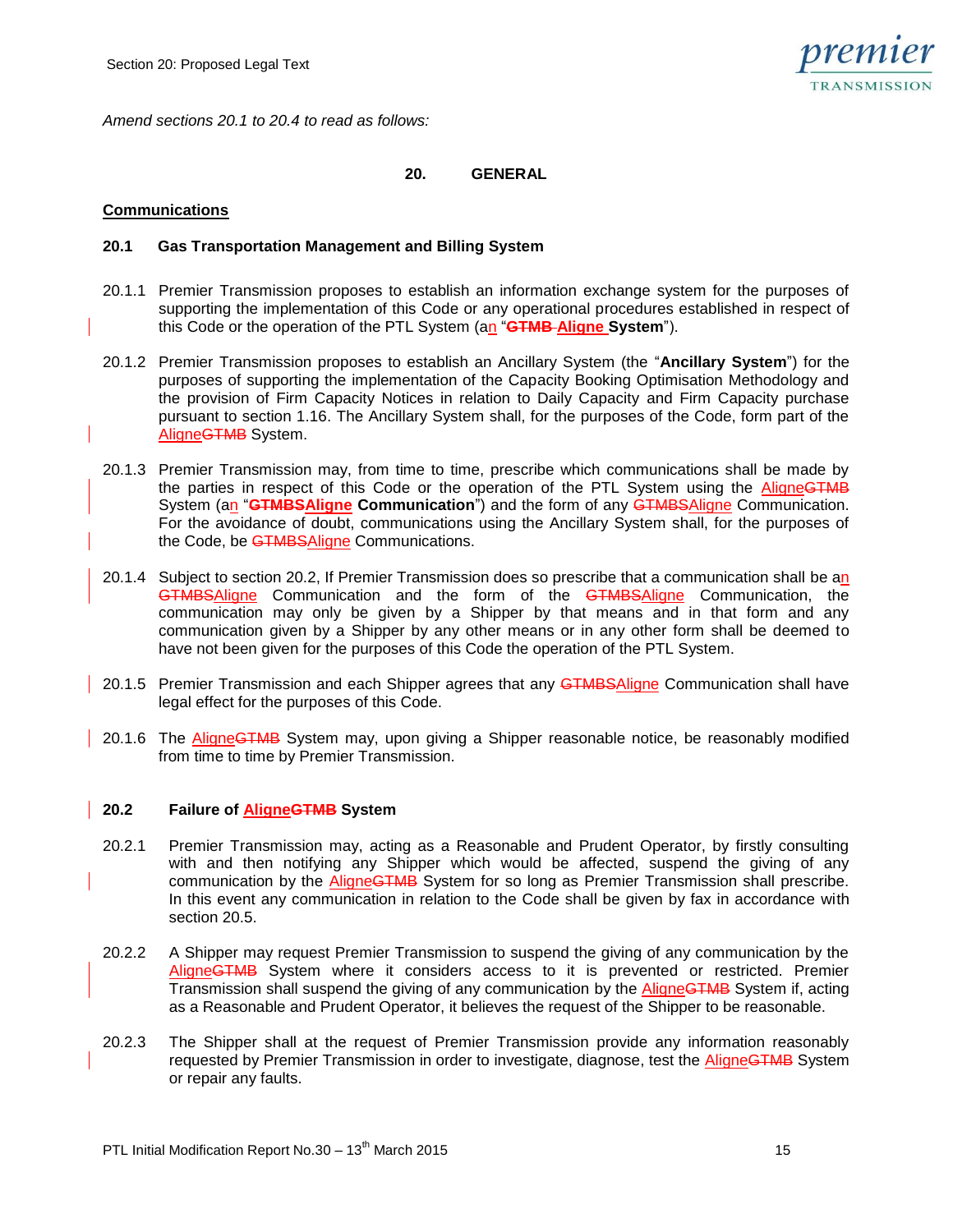

*Amend sections 20.1 to 20.4 to read as follows:*

# **20. GENERAL**

## **Communications**

## **20.1 Gas Transportation Management and Billing System**

- 20.1.1 Premier Transmission proposes to establish an information exchange system for the purposes of supporting the implementation of this Code or any operational procedures established in respect of this Code or the operation of the PTL System (an "**GTMB Aligne System**").
- 20.1.2 Premier Transmission proposes to establish an Ancillary System (the "**Ancillary System**") for the purposes of supporting the implementation of the Capacity Booking Optimisation Methodology and the provision of Firm Capacity Notices in relation to Daily Capacity and Firm Capacity purchase pursuant to section 1.16. The Ancillary System shall, for the purposes of the Code, form part of the AligneGTMB System.
- 20.1.3 Premier Transmission may, from time to time, prescribe which communications shall be made by the parties in respect of this Code or the operation of the PTL System using the AligneGTMB System (an "**GTMBSAligne Communication**") and the form of any GTMBSAligne Communication. For the avoidance of doubt, communications using the Ancillary System shall, for the purposes of the Code, be **GTMBSAligne Communications.**
- 20.1.4 Subject to section 20.2, If Premier Transmission does so prescribe that a communication shall be an GTMBSAligne Communication and the form of the GTMBSAligne Communication, the communication may only be given by a Shipper by that means and in that form and any communication given by a Shipper by any other means or in any other form shall be deemed to have not been given for the purposes of this Code the operation of the PTL System.
- 20.1.5 Premier Transmission and each Shipper agrees that any GTMBSAligne Communication shall have legal effect for the purposes of this Code.
- 20.1.6 The AligneGTMB System may, upon giving a Shipper reasonable notice, be reasonably modified from time to time by Premier Transmission.

#### **20.2 Failure of AligneGTMB System**

- 20.2.1 Premier Transmission may, acting as a Reasonable and Prudent Operator, by firstly consulting with and then notifying any Shipper which would be affected, suspend the giving of any communication by the **AligneGTMB** System for so long as Premier Transmission shall prescribe. In this event any communication in relation to the Code shall be given by fax in accordance with section 20.5.
- 20.2.2 A Shipper may request Premier Transmission to suspend the giving of any communication by the AligneGTMB System where it considers access to it is prevented or restricted. Premier Transmission shall suspend the giving of any communication by the AligneGTMB System if, acting as a Reasonable and Prudent Operator, it believes the request of the Shipper to be reasonable.
- 20.2.3 The Shipper shall at the request of Premier Transmission provide any information reasonably requested by Premier Transmission in order to investigate, diagnose, test the AligneGTMB System or repair any faults.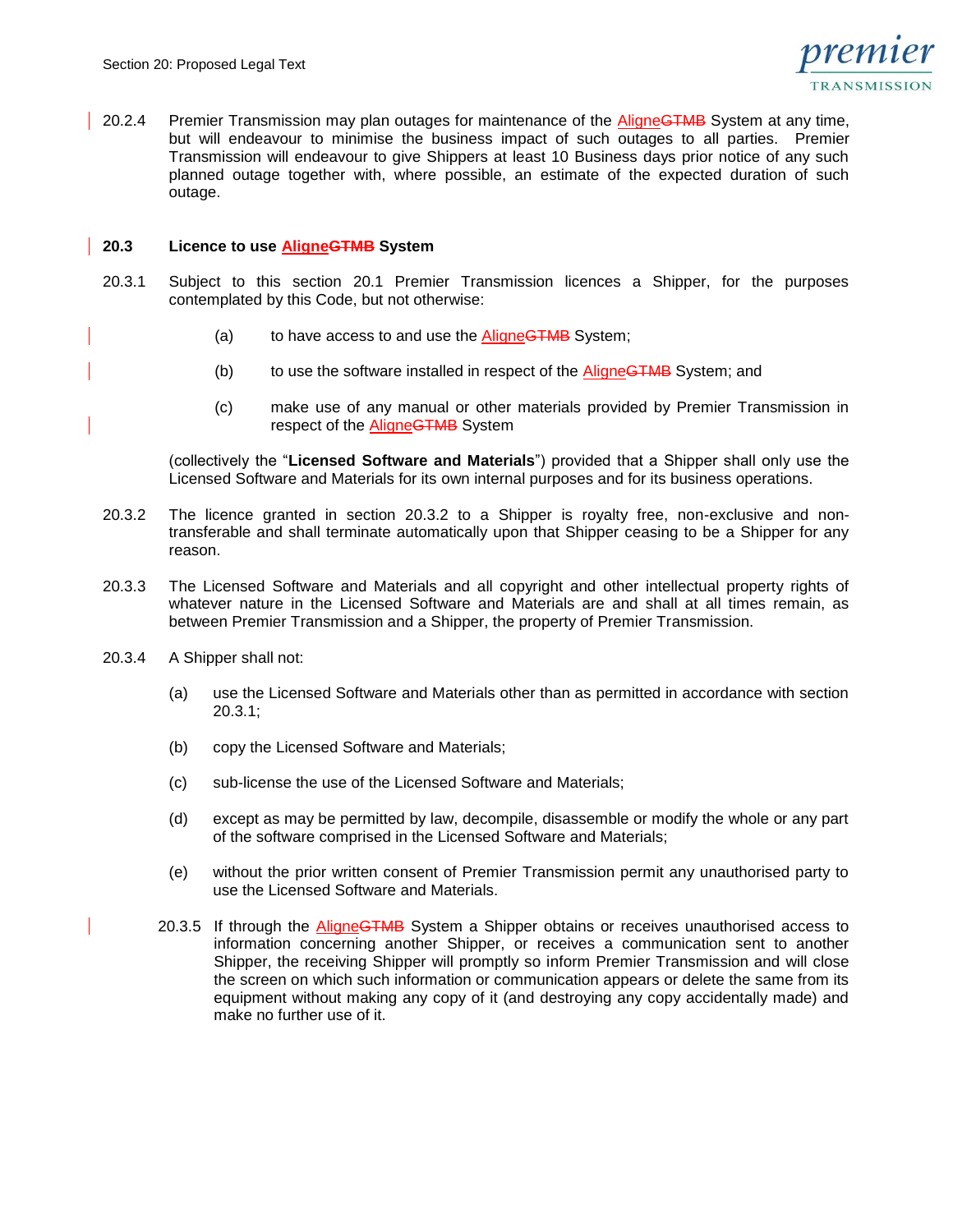

20.2.4 Premier Transmission may plan outages for maintenance of the AligneGTMB System at any time, but will endeavour to minimise the business impact of such outages to all parties. Premier Transmission will endeavour to give Shippers at least 10 Business days prior notice of any such planned outage together with, where possible, an estimate of the expected duration of such outage.

#### **20.3 Licence to use AligneGTMB System**

- 20.3.1 Subject to this section 20.1 Premier Transmission licences a Shipper, for the purposes contemplated by this Code, but not otherwise:
	- (a) to have access to and use the AligneGTMB System;
	- (b) to use the software installed in respect of the AligneGTMB System; and
	- (c) make use of any manual or other materials provided by Premier Transmission in respect of the AligneGTMB System

(collectively the "**Licensed Software and Materials**") provided that a Shipper shall only use the Licensed Software and Materials for its own internal purposes and for its business operations.

- 20.3.2 The licence granted in section 20.3.2 to a Shipper is royalty free, non-exclusive and nontransferable and shall terminate automatically upon that Shipper ceasing to be a Shipper for any reason.
- 20.3.3 The Licensed Software and Materials and all copyright and other intellectual property rights of whatever nature in the Licensed Software and Materials are and shall at all times remain, as between Premier Transmission and a Shipper, the property of Premier Transmission.
- 20.3.4 A Shipper shall not:
	- (a) use the Licensed Software and Materials other than as permitted in accordance with section 20.3.1;
	- (b) copy the Licensed Software and Materials;
	- (c) sub-license the use of the Licensed Software and Materials;
	- (d) except as may be permitted by law, decompile, disassemble or modify the whole or any part of the software comprised in the Licensed Software and Materials;
	- (e) without the prior written consent of Premier Transmission permit any unauthorised party to use the Licensed Software and Materials.
	- 20.3.5 If through the AligneGTMB System a Shipper obtains or receives unauthorised access to information concerning another Shipper, or receives a communication sent to another Shipper, the receiving Shipper will promptly so inform Premier Transmission and will close the screen on which such information or communication appears or delete the same from its equipment without making any copy of it (and destroying any copy accidentally made) and make no further use of it.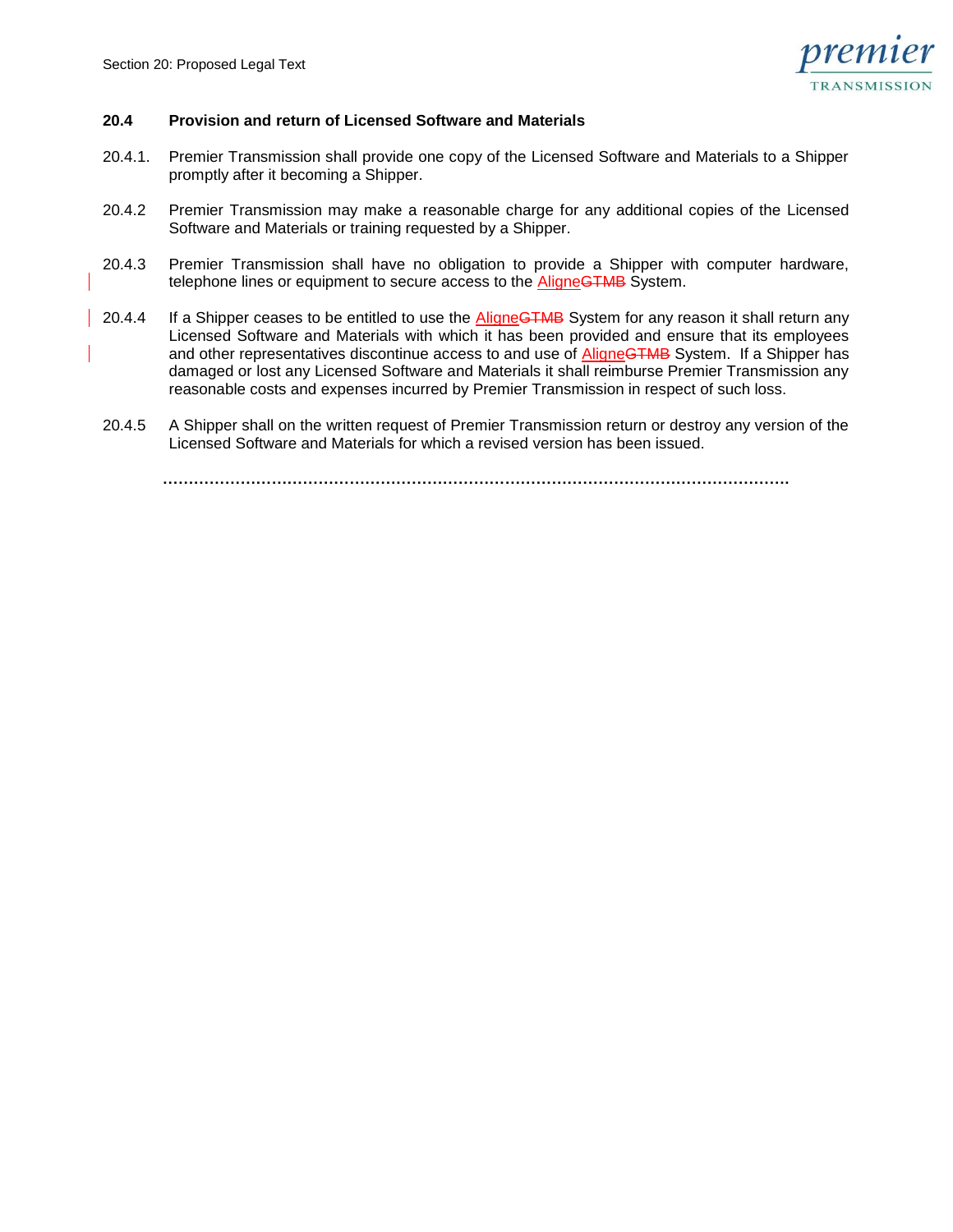

## **20.4 Provision and return of Licensed Software and Materials**

- 20.4.1. Premier Transmission shall provide one copy of the Licensed Software and Materials to a Shipper promptly after it becoming a Shipper.
- 20.4.2 Premier Transmission may make a reasonable charge for any additional copies of the Licensed Software and Materials or training requested by a Shipper.
- 20.4.3 Premier Transmission shall have no obligation to provide a Shipper with computer hardware, telephone lines or equipment to secure access to the **AligneGTMB** System.
- 20.4.4 If a Shipper ceases to be entitled to use the AligneGTMB System for any reason it shall return any Licensed Software and Materials with which it has been provided and ensure that its employees and other representatives discontinue access to and use of AligneGTMB System. If a Shipper has damaged or lost any Licensed Software and Materials it shall reimburse Premier Transmission any reasonable costs and expenses incurred by Premier Transmission in respect of such loss.
- 20.4.5 A Shipper shall on the written request of Premier Transmission return or destroy any version of the Licensed Software and Materials for which a revised version has been issued.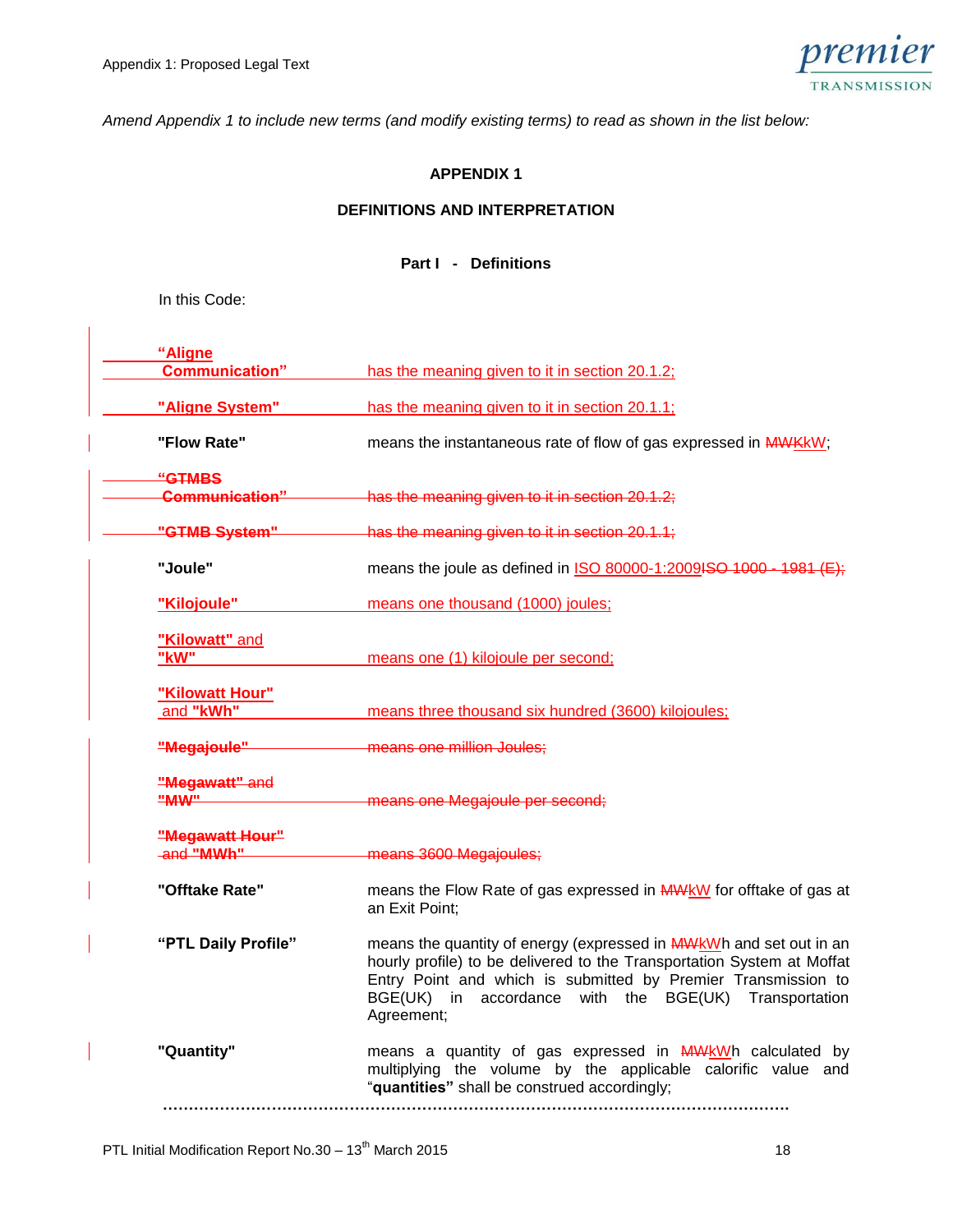

*Amend Appendix 1 to include new terms (and modify existing terms) to read as shown in the list below:*

# **APPENDIX 1**

# **DEFINITIONS AND INTERPRETATION**

## **Part I - Definitions**

In this Code:

| "Aligne<br><b>Communication"</b> | has the meaning given to it in section 20.1.2;                                                                                                                                                                                                                                       |
|----------------------------------|--------------------------------------------------------------------------------------------------------------------------------------------------------------------------------------------------------------------------------------------------------------------------------------|
|                                  |                                                                                                                                                                                                                                                                                      |
| "Aligne System"                  | has the meaning given to it in section 20.1.1;                                                                                                                                                                                                                                       |
| "Flow Rate"                      | means the instantaneous rate of flow of gas expressed in MWKKW;                                                                                                                                                                                                                      |
| "GTMBS                           |                                                                                                                                                                                                                                                                                      |
| <b>Communication"</b>            | has the meaning given to it in section 20.1.2;                                                                                                                                                                                                                                       |
| "GTMB System"                    | has the meaning given to it in section 20.1.1;                                                                                                                                                                                                                                       |
| "Joule"                          | means the joule as defined in ISO 80000-1:2009ISO 1000 - 1981 (E);                                                                                                                                                                                                                   |
| "Kilojoule"                      | means one thousand (1000) joules;                                                                                                                                                                                                                                                    |
| "Kilowatt" and                   |                                                                                                                                                                                                                                                                                      |
| "kW"                             | means one (1) kilojoule per second;                                                                                                                                                                                                                                                  |
| "Kilowatt Hour"                  |                                                                                                                                                                                                                                                                                      |
| and "kWh"                        | means three thousand six hundred (3600) kilojoules;                                                                                                                                                                                                                                  |
| "Megajoule"                      | means one million Joules;                                                                                                                                                                                                                                                            |
| "Megawatt" and                   |                                                                                                                                                                                                                                                                                      |
| "MW"                             | means one Megajoule per second;                                                                                                                                                                                                                                                      |
| "Megawatt Hour"                  |                                                                                                                                                                                                                                                                                      |
| and "MWh"                        | means 3600 Megajoules;                                                                                                                                                                                                                                                               |
| "Offtake Rate"                   | means the Flow Rate of gas expressed in MWKW for offtake of gas at<br>an Exit Point;                                                                                                                                                                                                 |
| "PTL Daily Profile"              | means the quantity of energy (expressed in MWKWh and set out in an<br>hourly profile) to be delivered to the Transportation System at Moffat<br>Entry Point and which is submitted by Premier Transmission to<br>BGE(UK) in accordance with the BGE(UK) Transportation<br>Agreement; |
| "Quantity"                       | means a quantity of gas expressed in MWKWh calculated by<br>multiplying the volume by the applicable calorific value and<br>"quantities" shall be construed accordingly;                                                                                                             |